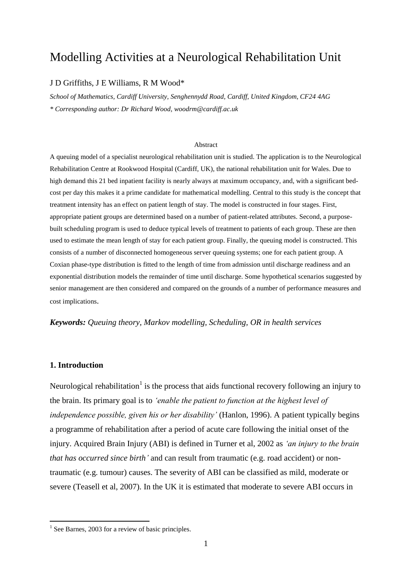# Modelling Activities at a Neurological Rehabilitation Unit

### J D Griffiths, J E Williams, R M Wood\*

*School of Mathematics, Cardiff University, Senghennydd Road, Cardiff, United Kingdom, CF24 4AG \* Corresponding author: Dr Richard Wood[, woodrm@cardiff.ac.uk](mailto:griffiths@cardiff.ac.uk)*

#### Abstract

A queuing model of a specialist neurological rehabilitation unit is studied. The application is to the Neurological Rehabilitation Centre at Rookwood Hospital (Cardiff, UK), the national rehabilitation unit for Wales. Due to high demand this 21 bed inpatient facility is nearly always at maximum occupancy, and, with a significant bedcost per day this makes it a prime candidate for mathematical modelling. Central to this study is the concept that treatment intensity has an effect on patient length of stay. The model is constructed in four stages. First, appropriate patient groups are determined based on a number of patient-related attributes. Second, a purposebuilt scheduling program is used to deduce typical levels of treatment to patients of each group. These are then used to estimate the mean length of stay for each patient group. Finally, the queuing model is constructed. This consists of a number of disconnected homogeneous server queuing systems; one for each patient group. A Coxian phase-type distribution is fitted to the length of time from admission until discharge readiness and an exponential distribution models the remainder of time until discharge. Some hypothetical scenarios suggested by senior management are then considered and compared on the grounds of a number of performance measures and cost implications.

*Keywords: Queuing theory, Markov modelling, Scheduling, OR in health services*

# **1. Introduction**

Neurological rehabilitation<sup>1</sup> is the process that aids functional recovery following an injury to the brain. Its primary goal is to *'enable the patient to function at the highest level of independence possible, given his or her disability'* (Hanlon, 1996). A patient typically begins a programme of rehabilitation after a period of acute care following the initial onset of the injury. Acquired Brain Injury (ABI) is defined in Turner et al, 2002 as *'an injury to the brain that has occurred since birth'* and can result from traumatic (e.g. road accident) or nontraumatic (e.g. tumour) causes. The severity of ABI can be classified as mild, moderate or severe (Teasell et al, 2007). In the UK it is estimated that moderate to severe ABI occurs in

<sup>&</sup>lt;sup>1</sup> See Barnes, 2003 for a review of basic principles.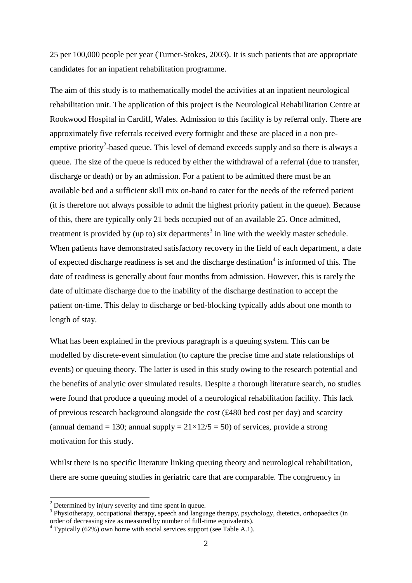25 per 100,000 people per year (Turner-Stokes, 2003). It is such patients that are appropriate candidates for an inpatient rehabilitation programme.

The aim of this study is to mathematically model the activities at an inpatient neurological rehabilitation unit. The application of this project is the Neurological Rehabilitation Centre at Rookwood Hospital in Cardiff, Wales. Admission to this facility is by referral only. There are approximately five referrals received every fortnight and these are placed in a non preemptive priority<sup>2</sup>-based queue. This level of demand exceeds supply and so there is always a queue. The size of the queue is reduced by either the withdrawal of a referral (due to transfer, discharge or death) or by an admission. For a patient to be admitted there must be an available bed and a sufficient skill mix on-hand to cater for the needs of the referred patient (it is therefore not always possible to admit the highest priority patient in the queue). Because of this, there are typically only 21 beds occupied out of an available 25. Once admitted, treatment is provided by (up to) six departments<sup>3</sup> in line with the weekly master schedule. When patients have demonstrated satisfactory recovery in the field of each department, a date of expected discharge readiness is set and the discharge destination<sup>4</sup> is informed of this. The date of readiness is generally about four months from admission. However, this is rarely the date of ultimate discharge due to the inability of the discharge destination to accept the patient on-time. This delay to discharge or bed-blocking typically adds about one month to length of stay.

What has been explained in the previous paragraph is a queuing system. This can be modelled by discrete-event simulation (to capture the precise time and state relationships of events) or queuing theory. The latter is used in this study owing to the research potential and the benefits of analytic over simulated results. Despite a thorough literature search, no studies were found that produce a queuing model of a neurological rehabilitation facility. This lack of previous research background alongside the cost (£480 bed cost per day) and scarcity (annual demand = 130; annual supply =  $21 \times 12/5 = 50$ ) of services, provide a strong motivation for this study.

Whilst there is no specific literature linking queuing theory and neurological rehabilitation, there are some queuing studies in geriatric care that are comparable. The congruency in

-

 $2$  Determined by injury severity and time spent in queue.

<sup>&</sup>lt;sup>3</sup> Physiotherapy, occupational therapy, speech and language therapy, psychology, dietetics, orthopaedics (in order of decreasing size as measured by number of full-time equivalents).

 $4$  Typically (62%) own home with social services support (see Table A.1).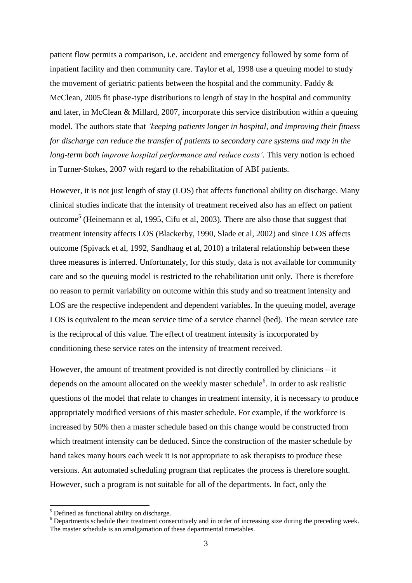patient flow permits a comparison, i.e. accident and emergency followed by some form of inpatient facility and then community care. Taylor et al, 1998 use a queuing model to study the movement of geriatric patients between the hospital and the community. Faddy  $\&$ McClean, 2005 fit phase-type distributions to length of stay in the hospital and community and later, in McClean & Millard, 2007, incorporate this service distribution within a queuing model. The authors state that *'keeping patients longer in hospital, and improving their fitness for discharge can reduce the transfer of patients to secondary care systems and may in the long-term both improve hospital performance and reduce costs'*. This very notion is echoed in Turner-Stokes, 2007 with regard to the rehabilitation of ABI patients.

However, it is not just length of stay (LOS) that affects functional ability on discharge. Many clinical studies indicate that the intensity of treatment received also has an effect on patient outcome<sup>5</sup> (Heinemann et al, 1995, Cifu et al, 2003). There are also those that suggest that treatment intensity affects LOS (Blackerby, 1990, Slade et al, 2002) and since LOS affects outcome (Spivack et al, 1992, Sandhaug et al, 2010) a trilateral relationship between these three measures is inferred. Unfortunately, for this study, data is not available for community care and so the queuing model is restricted to the rehabilitation unit only. There is therefore no reason to permit variability on outcome within this study and so treatment intensity and LOS are the respective independent and dependent variables. In the queuing model, average LOS is equivalent to the mean service time of a service channel (bed). The mean service rate is the reciprocal of this value. The effect of treatment intensity is incorporated by conditioning these service rates on the intensity of treatment received.

However, the amount of treatment provided is not directly controlled by clinicians – it depends on the amount allocated on the weekly master schedule<sup>6</sup>. In order to ask realistic questions of the model that relate to changes in treatment intensity, it is necessary to produce appropriately modified versions of this master schedule. For example, if the workforce is increased by 50% then a master schedule based on this change would be constructed from which treatment intensity can be deduced. Since the construction of the master schedule by hand takes many hours each week it is not appropriate to ask therapists to produce these versions. An automated scheduling program that replicates the process is therefore sought. However, such a program is not suitable for all of the departments. In fact, only the

-

 $<sup>5</sup>$  Defined as functional ability on discharge.</sup>

<sup>&</sup>lt;sup>6</sup> Departments schedule their treatment consecutively and in order of increasing size during the preceding week. The master schedule is an amalgamation of these departmental timetables.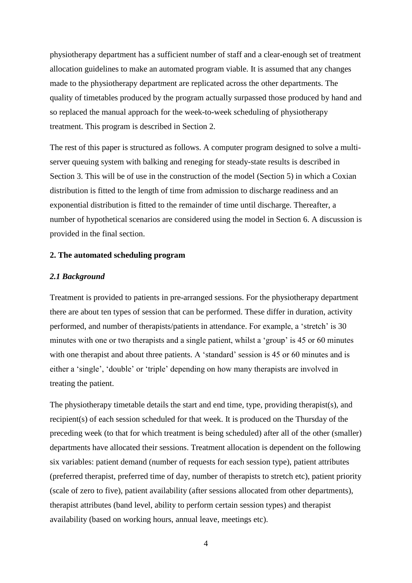physiotherapy department has a sufficient number of staff and a clear-enough set of treatment allocation guidelines to make an automated program viable. It is assumed that any changes made to the physiotherapy department are replicated across the other departments. The quality of timetables produced by the program actually surpassed those produced by hand and so replaced the manual approach for the week-to-week scheduling of physiotherapy treatment. This program is described in Section 2.

The rest of this paper is structured as follows. A computer program designed to solve a multiserver queuing system with balking and reneging for steady-state results is described in Section 3. This will be of use in the construction of the model (Section 5) in which a Coxian distribution is fitted to the length of time from admission to discharge readiness and an exponential distribution is fitted to the remainder of time until discharge. Thereafter, a number of hypothetical scenarios are considered using the model in Section 6. A discussion is provided in the final section.

# **2. The automated scheduling program**

# *2.1 Background*

Treatment is provided to patients in pre-arranged sessions. For the physiotherapy department there are about ten types of session that can be performed. These differ in duration, activity performed, and number of therapists/patients in attendance. For example, a 'stretch' is 30 minutes with one or two therapists and a single patient, whilst a 'group' is 45 or 60 minutes with one therapist and about three patients. A 'standard' session is 45 or 60 minutes and is either a 'single', 'double' or 'triple' depending on how many therapists are involved in treating the patient.

The physiotherapy timetable details the start and end time, type, providing therapist(s), and recipient(s) of each session scheduled for that week. It is produced on the Thursday of the preceding week (to that for which treatment is being scheduled) after all of the other (smaller) departments have allocated their sessions. Treatment allocation is dependent on the following six variables: patient demand (number of requests for each session type), patient attributes (preferred therapist, preferred time of day, number of therapists to stretch etc), patient priority (scale of zero to five), patient availability (after sessions allocated from other departments), therapist attributes (band level, ability to perform certain session types) and therapist availability (based on working hours, annual leave, meetings etc).

4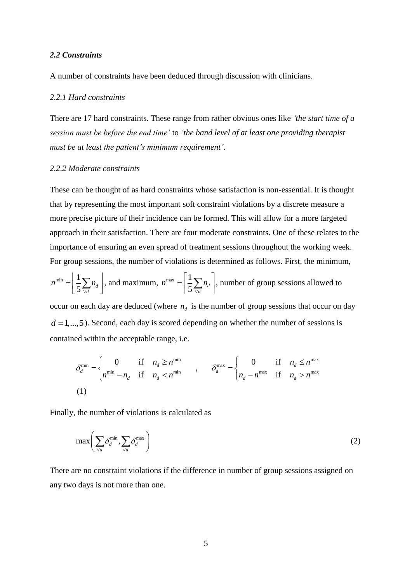# *2.2 Constraints*

A number of constraints have been deduced through discussion with clinicians.

#### *2.2.1 Hard constraints*

There are 17 hard constraints. These range from rather obvious ones like *'the start time of a session must be before the end time'* to *'the band level of at least one providing therapist must be at least the patient's minimum requirement'*.

#### *2.2.2 Moderate constraints*

These can be thought of as hard constraints whose satisfaction is non-essential. It is thought that by representing the most important soft constraint violations by a discrete measure a more precise picture of their incidence can be formed. This will allow for a more targeted approach in their satisfaction. There are four moderate constraints. One of these relates to the importance of ensuring an even spread of treatment sessions throughout the working week. For group sessions, the number of violations is determined as follows. First, the minimum,

$$
n^{\min} = \left[ \frac{1}{5} \sum_{\forall d} n_d \right],
$$
 and maximum,  $n^{\max} = \left[ \frac{1}{5} \sum_{\forall d} n_d \right]$ , number of group sessions allowed to

occur on each day are deduced (where  $n_d$  is the number of group sessions that occur on day  $d = 1, \ldots, 5$ ). Second, each day is scored depending on whether the number of sessions is

contained within the acceptable range, i.e.  
\n
$$
\delta_d^{\min} = \begin{cases}\n0 & \text{if } n_d \ge n^{\min} \\
n^{\min} - n_d & \text{if } n_d < n^{\min}\n\end{cases}, \quad \delta_d^{\max} = \begin{cases}\n0 & \text{if } n_d \le n^{\max} \\
n_d - n^{\max} & \text{if } n_d > n^{\max}\n\end{cases}
$$
\n(1)

Finally, the number of violations is calculated as

$$
\max\left(\sum_{\forall d} \delta_d^{\min}, \sum_{\forall d} \delta_d^{\max}\right) \tag{2}
$$

There are no constraint violations if the difference in number of group sessions assigned on any two days is not more than one.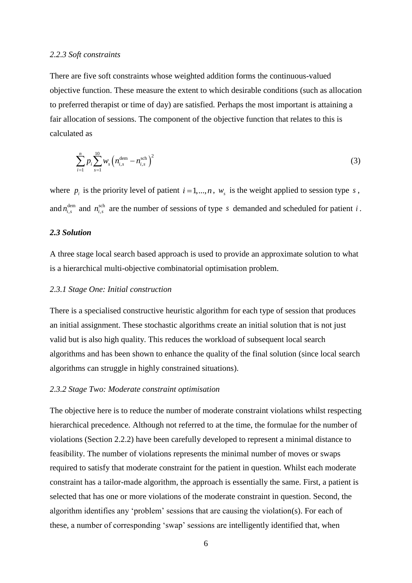### *2.2.3 Soft constraints*

There are five soft constraints whose weighted addition forms the continuous-valued objective function. These measure the extent to which desirable conditions (such as allocation to preferred therapist or time of day) are satisfied. Perhaps the most important is attaining a fair allocation of sessions. The component of the objective function that relates to this is calculated as

$$
\sum_{i=1}^{n} p_i \sum_{s=1}^{10} w_s \left( n_{i,s}^{\text{dem}} - n_{i,s}^{\text{sch}} \right)^2 \tag{3}
$$

where  $p_i$  is the priority level of patient  $i = 1, ..., n$ ,  $w_s$  is the weight applied to session type s, and  $n_i^{\text{dem}}$  $n_{i,s}^{\text{dem}}$  and  $n_{i,s}^{\text{sch}}$  $n_{i,s}^{\text{sch}}$  are the number of sessions of type s demanded and scheduled for patient *i*.

# *2.3 Solution*

A three stage local search based approach is used to provide an approximate solution to what is a hierarchical multi-objective combinatorial optimisation problem.

#### *2.3.1 Stage One: Initial construction*

There is a specialised constructive heuristic algorithm for each type of session that produces an initial assignment. These stochastic algorithms create an initial solution that is not just valid but is also high quality. This reduces the workload of subsequent local search algorithms and has been shown to enhance the quality of the final solution (since local search algorithms can struggle in highly constrained situations).

# *2.3.2 Stage Two: Moderate constraint optimisation*

The objective here is to reduce the number of moderate constraint violations whilst respecting hierarchical precedence. Although not referred to at the time, the formulae for the number of violations (Section 2.2.2) have been carefully developed to represent a minimal distance to feasibility. The number of violations represents the minimal number of moves or swaps required to satisfy that moderate constraint for the patient in question. Whilst each moderate constraint has a tailor-made algorithm, the approach is essentially the same. First, a patient is selected that has one or more violations of the moderate constraint in question. Second, the algorithm identifies any 'problem' sessions that are causing the violation(s). For each of these, a number of corresponding 'swap' sessions are intelligently identified that, when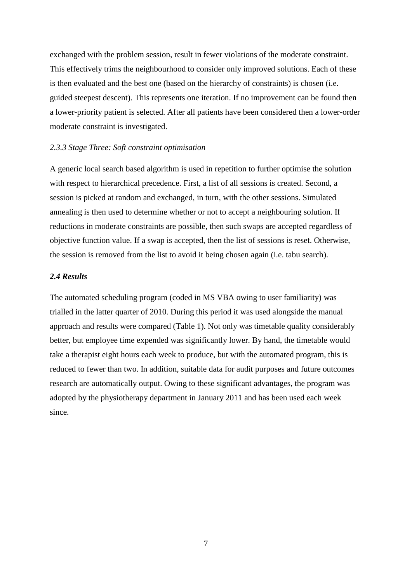exchanged with the problem session, result in fewer violations of the moderate constraint. This effectively trims the neighbourhood to consider only improved solutions. Each of these is then evaluated and the best one (based on the hierarchy of constraints) is chosen (i.e. guided steepest descent). This represents one iteration. If no improvement can be found then a lower-priority patient is selected. After all patients have been considered then a lower-order moderate constraint is investigated.

### *2.3.3 Stage Three: Soft constraint optimisation*

A generic local search based algorithm is used in repetition to further optimise the solution with respect to hierarchical precedence. First, a list of all sessions is created. Second, a session is picked at random and exchanged, in turn, with the other sessions. Simulated annealing is then used to determine whether or not to accept a neighbouring solution. If reductions in moderate constraints are possible, then such swaps are accepted regardless of objective function value. If a swap is accepted, then the list of sessions is reset. Otherwise, the session is removed from the list to avoid it being chosen again (i.e. tabu search).

# *2.4 Results*

The automated scheduling program (coded in MS VBA owing to user familiarity) was trialled in the latter quarter of 2010. During this period it was used alongside the manual approach and results were compared (Table 1). Not only was timetable quality considerably better, but employee time expended was significantly lower. By hand, the timetable would take a therapist eight hours each week to produce, but with the automated program, this is reduced to fewer than two. In addition, suitable data for audit purposes and future outcomes research are automatically output. Owing to these significant advantages, the program was adopted by the physiotherapy department in January 2011 and has been used each week since.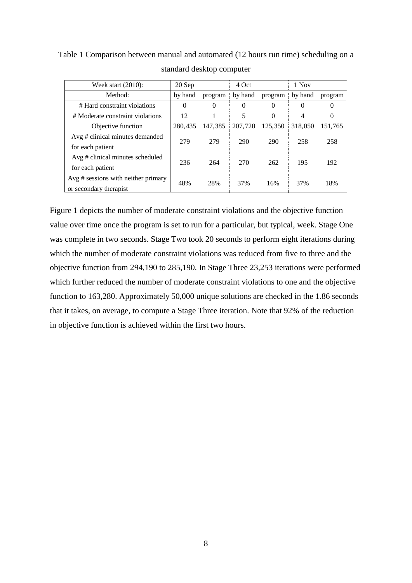| standard desktop computer                                        |          |          |         |          |            |         |  |  |
|------------------------------------------------------------------|----------|----------|---------|----------|------------|---------|--|--|
| Week start (2010):                                               | $20$ Sep |          | 4 Oct   |          | 1 Nov      |         |  |  |
| Method:                                                          | by hand  | program: | by hand | program: | by hand    | program |  |  |
| # Hard constraint violations                                     | 0        | $\theta$ | 0       |          |            |         |  |  |
| # Moderate constraint violations                                 | 12       |          | 5       | 0        | 4          |         |  |  |
| Objective function                                               | 280,435  | 147,385  | 207,720 | 125,350  | $-318,050$ | 151,765 |  |  |
| Avg # clinical minutes demanded                                  | 279      | 279      | 290     | 290      | 258        | 258     |  |  |
| for each patient                                                 |          |          |         |          |            |         |  |  |
| Avg # clinical minutes scheduled                                 | 236      | 264      | 270     | 262      | 195        | 192     |  |  |
| for each patient                                                 |          |          |         |          |            |         |  |  |
| Avg $\#$ sessions with neither primary<br>or secondary therapist | 48%      | 28%      | 37%     | 16%      | 37%        | 18%     |  |  |

Table 1 Comparison between manual and automated (12 hours run time) scheduling on a<br>
standard desktop computer<br>
Week start (2010): 20 Sep 4 Oct 1 Nov<br>
Method: by hand program by hand program by hand program standard desktop computer

Figure 1 depicts the number of moderate constraint violations and the objective function value over time once the program is set to run for a particular, but typical, week. Stage One was complete in two seconds. Stage Two took 20 seconds to perform eight iterations during which the number of moderate constraint violations was reduced from five to three and the objective function from 294,190 to 285,190. In Stage Three 23,253 iterations were performed which further reduced the number of moderate constraint violations to one and the objective function to 163,280. Approximately 50,000 unique solutions are checked in the 1.86 seconds that it takes, on average, to compute a Stage Three iteration. Note that 92% of the reduction in objective function is achieved within the first two hours.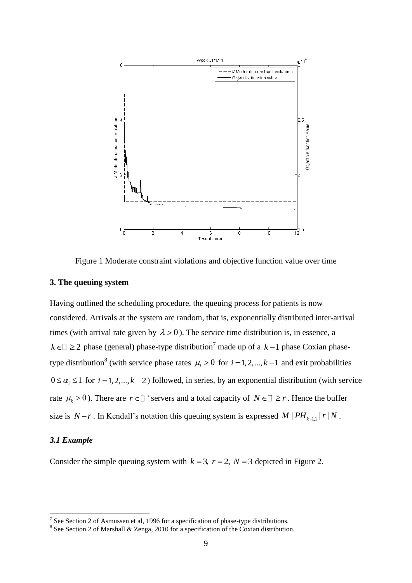

Figure 1 Moderate constraint violations and objective function value over time

# **3. The queuing system**

Having outlined the scheduling procedure, the queuing process for patients is now considered. Arrivals at the system are random, that is, exponentially distributed inter-arrival times (with arrival rate given by  $\lambda > 0$ ). The service time distribution is, in essence, a  $k \in \mathbb{Z} \geq 2$  phase (general) phase-type distribution<sup>7</sup> made up of a  $k-1$  phase Coxian phasetype distribution<sup>8</sup> (with service phase rates  $\mu_i > 0$  for  $i = 1, 2, ..., k-1$  and exit probabilities  $0 \le \alpha_i \le 1$  for  $i = 1, 2, ..., k - 2$ ) followed, in series, by an exponential distribution (with service rate  $\mu_k > 0$ ). There are  $r \in \Box$  servers and a total capacity of  $N \in \Box \geq r$ . Hence the buffer size is  $N-r$ . In Kendall's notation this queuing system is expressed  $M | PH_{k-1,1} | r | N$ .

#### *3.1 Example*

Consider the simple queuing system with  $k = 3$ ,  $r = 2$ ,  $N = 3$  depicted in Figure 2.

 $\frac{1}{7}$  See Section 2 of Asmussen et al, 1996 for a specification of phase-type distributions.

<sup>&</sup>lt;sup>8</sup> See Section 2 of Marshall & Zenga, 2010 for a specification of the Coxian distribution.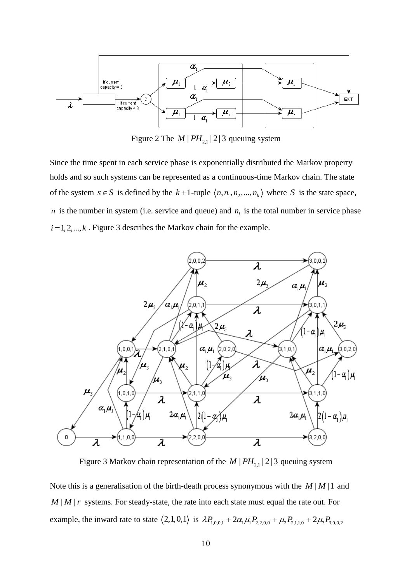

Figure 2 The  $M | PH_{2,1} | 2 | 3$  queuing system

Since the time spent in each service phase is exponentially distributed the Markov property holds and so such systems can be represented as a continuous-time Markov chain. The state of the system  $s \in S$  is defined by the  $k+1$ -tuple  $\langle n, n_1, n_2, ..., n_k \rangle$  where S is the state space, *n* is the number in system (i.e. service and queue) and  $n_i$  is the total number in service phase  $i = 1, 2, \dots, k$ . Figure 3 describes the Markov chain for the example.



Figure 3 Markov chain representation of the  $M | PH_{2,1} | 2 | 3$  queuing system

Note this is a generalisation of the birth-death process synonymous with the  $M|M|1$  and  $M \mid M \mid r$  systems. For steady-state, the rate into each state must equal the rate out. For M | M | r systems. For steady-state, the rate into each state must equal the rate out. For<br>example, the inward rate to state  $\langle 2,1,0,1 \rangle$  is  $\lambda P_{1,0,0,1} + 2\alpha_1 \mu_1 P_{2,2,0,0} + \mu_2 P_{2,1,1,0} + 2\mu_3 P_{3,0,0,2}$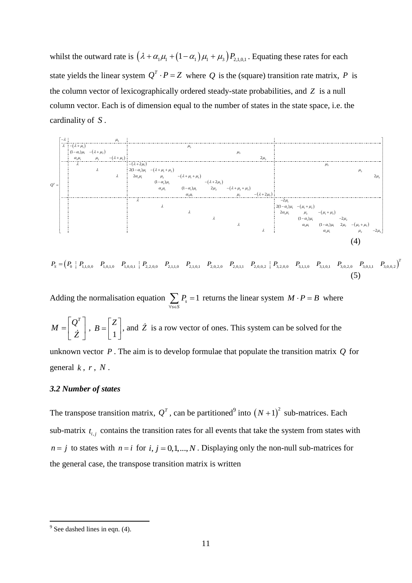whilst the outward rate is  $(\lambda + \alpha_1 \mu_1 + (1 - \alpha_1) \mu_1 + \mu_3) P_{2,1,0,1}$ . Equating these rates for each state yields the linear system  $Q^T \cdot P = Z$  where Q is the (square) transition rate matrix, P is the column vector of lexicographically ordered steady-state probabilities, and *Z* is a null column vector. Each is of dimension equal to the number of states in the state space, i.e. the cardinality of *S* . mn vector. Each is of dimension<br>inality of S. umn vector. Each is of dimension equal to the number of states in the state space, i.e. the<br>dinality of S.<br> $\begin{bmatrix} \frac{-\lambda}{\lambda} & \mu_1 \\ \frac{1}{2} & -(\lambda + \mu_1) & \mu_2 \end{bmatrix}$ 



*T*  $=$ (5)

Adding the normalisation equation  $\sum P_s = 1$ *s S P*  $\sum_{\forall s \in S} P_s = 1$  returns the linear system  $M \cdot P = B$  where

 $Q^{\mathit{I}}$ *M Z*  $|Q^T|$  $=\left[\begin{array}{c} z \\ z \end{array}\right],$ 1 *Z*  $B = \begin{bmatrix} Z \\ 1 \end{bmatrix}$ , and  $\dot{Z}$  is a row vector of ones. This system can be solved for the

unknown vector *P* . The aim is to develop formulae that populate the transition matrix *Q* for general  $k, r, N$ .

# *3.2 Number of states*

The transpose transition matrix,  $Q<sup>T</sup>$ , can be partitioned<sup>9</sup> into  $(N+1)^2$  sub-matrices. Each sub-matrix  $t_{i,j}$  contains the transition rates for all events that take the system from states with  $n = j$  to states with  $n = i$  for  $i, j = 0, 1, ..., N$ . Displaying only the non-null sub-matrices for the general case, the transpose transition matrix is written

<sup>&</sup>lt;sup>9</sup> See dashed lines in eqn. (4).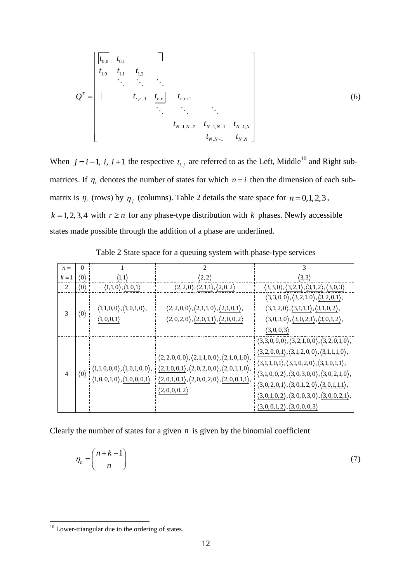$$
Q^{T} = \begin{bmatrix} t_{0,0} & t_{0,1} & & & \\ t_{1,0} & t_{1,1} & t_{1,2} & & \\ & \ddots & \ddots & \ddots & \\ & & t_{r,r-1} & t_{r,r} & t_{r,r+1} & \\ & & \ddots & \ddots & \ddots & \\ & & & t_{N-1,N-2} & t_{N-1,N-1} & t_{N-1,N} \\ & & & & & t_{N,N-1} & t_{N,N} \end{bmatrix}
$$
 (6)

When  $j = i - 1$ , *i*,  $i + 1$  the respective  $t_{i,j}$  are referred to as the Left, Middle<sup>10</sup> and Right submatrices. If  $\eta_i$  denotes the number of states for which  $n = i$  then the dimension of each submatrix is  $\eta_i$  (rows) by  $\eta_j$  (columns). Table 2 details the state space for  $n = 0, 1, 2, 3$ ,  $k = 1, 2, 3, 4$  with  $r \ge n$  for any phase-type distribution with k phases. Newly accessible states made possible through the addition of a phase are underlined.

|                |                     |                                                                                                                                                                                               | ates made possible through the addition of a phase are underlined.                                                                   |                                                                                           |
|----------------|---------------------|-----------------------------------------------------------------------------------------------------------------------------------------------------------------------------------------------|--------------------------------------------------------------------------------------------------------------------------------------|-------------------------------------------------------------------------------------------|
|                |                     |                                                                                                                                                                                               | Table 2 State space for a queuing system with phase-type services                                                                    |                                                                                           |
| $n =$          | $\Omega$            | 1                                                                                                                                                                                             | $\mathfrak{D}$                                                                                                                       | 3                                                                                         |
| $k=1$          | $\langle 0 \rangle$ | $\langle 1,1\rangle$                                                                                                                                                                          | $\langle 2,2\rangle$                                                                                                                 | $\langle 3,3 \rangle$                                                                     |
| $\overline{2}$ | $\langle 0 \rangle$ | $\langle 1,1,0 \rangle, \langle 1,0,1 \rangle$                                                                                                                                                | $\langle 2,2,0\rangle, \langle 2,1,1\rangle, \langle 2,0,2\rangle$                                                                   | $\langle 3,3,0\rangle, \langle 3,2,1\rangle, \langle 3,1,2\rangle, \langle 3,0,3\rangle$  |
|                |                     |                                                                                                                                                                                               |                                                                                                                                      | $\langle 3,3,0,0 \rangle, \langle 3,2,1,0 \rangle, \langle 3,2,0,1 \rangle,$              |
| $\mathcal{R}$  | $\langle 0 \rangle$ | $\langle 1,1,0,0\rangle, \langle 1,0,1,0\rangle,$                                                                                                                                             | $\langle 2,2,0,0 \rangle, \langle 2,1,1,0 \rangle, \langle 2,1,0,1 \rangle,$                                                         | $\langle 3,1,2,0\rangle, \langle 3,1,1,1\rangle, \langle 3,1,0,2\rangle,$                 |
|                |                     | $\langle 1,0,0,1\rangle$                                                                                                                                                                      | $\langle 2,0,2,0\rangle, \langle 2,0,1,1\rangle, \langle 2,0,0,2\rangle$                                                             | $\langle 3,0,3,0 \rangle, \langle 3,0,2,1 \rangle, \langle 3,0,1,2 \rangle,$              |
|                |                     |                                                                                                                                                                                               |                                                                                                                                      | $\langle 3,0,0,3\rangle$                                                                  |
|                |                     |                                                                                                                                                                                               |                                                                                                                                      | $\langle 3,3,0,0,0 \rangle, \langle 3,2,1,0,0 \rangle, \langle 3,2,0,1,0 \rangle,$        |
|                |                     |                                                                                                                                                                                               |                                                                                                                                      | $\langle 3,2,0,0,1 \rangle$ , $\langle 3,1,2,0,0 \rangle$ , $\langle 3,1,1,1,0 \rangle$ , |
|                |                     | $\big\langle 1,1,0,0,0\big\rangle,\big\langle 1,0,1,0,0\big\rangle,\ \big \left\langle \underline{2,1,0,0,1}\right\rangle,\big\langle 2,0,2,0,0\big\rangle,\big\langle 2,0,1,1,0\big\rangle,$ | $\langle 2, 2, 0, 0, 0 \rangle$ , $\langle 2, 1, 1, 0, 0 \rangle$ , $\langle 2, 1, 0, 1, 0 \rangle$ ,                                | $\langle 3,1,1,0,1 \rangle$ , $\langle 3,1,0,2,0 \rangle$ , $\langle 3,1,0,1,1 \rangle$ , |
| 4              | $\langle 0 \rangle$ |                                                                                                                                                                                               |                                                                                                                                      | $(3,1,0,0,2), (3,0,3,0,0), (3,0,2,1,0),$                                                  |
|                |                     |                                                                                                                                                                                               | $\langle 1,0,0,1,0\rangle, \langle 1,0,0,0,1\rangle$ $\langle 2,0,1,0,1\rangle, \langle 2,0,0,2,0\rangle, \langle 2,0,0,1,1\rangle,$ | $\langle 3,0,2,0,1 \rangle, \langle 3,0,1,2,0 \rangle, \langle 3,0,1,1,1 \rangle,$        |
|                |                     |                                                                                                                                                                                               | $\langle 2, 0, 0, 0, 2 \rangle$                                                                                                      | $\langle 3,0,1,0,2 \rangle, \langle 3,0,0,3,0 \rangle, \langle 3,0,0,2,1 \rangle,$        |
|                |                     |                                                                                                                                                                                               |                                                                                                                                      | $\langle 3,0,0,1,2 \rangle, \langle 3,0,0,0,3 \rangle$                                    |
|                |                     |                                                                                                                                                                                               |                                                                                                                                      |                                                                                           |

Table 2 State space for a queuing system with phase-type services

Clearly the number of states for a given  $n$  is given by the binomial coefficient

$$
\eta_n = \binom{n+k-1}{n}
$$

(7)

-

 $10$  Lower-triangular due to the ordering of states.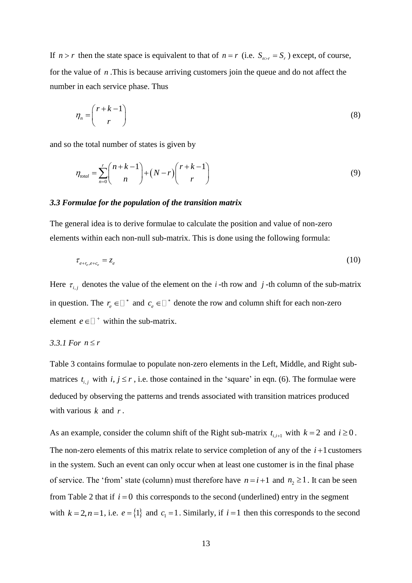If  $n > r$  then the state space is equivalent to that of  $n = r$  (i.e.  $S_{n>r} = S_r$ ) except, of course, for the value of *n* .This is because arriving customers join the queue and do not affect the number in each service phase. Thus

$$
\eta_n = \binom{r+k-1}{r} \tag{8}
$$

and so the total number of states is given by

$$
\eta_{\text{total}} = \sum_{n=0}^{r} {n+k-1 \choose n} + (N-r) {r+k-1 \choose r} \tag{9}
$$

# *3.3 Formulae for the population of the transition matrix*

The general idea is to derive formulae to calculate the position and value of non-zero elements within each non-null sub-matrix. This is done using the following formula:

$$
\tau_{e+r_e,e+c_e} = z_e \tag{10}
$$

Here  $\tau_{i,j}$  denotes the value of the element on the *i*-th row and *j*-th column of the sub-matrix in question. The  $r_e \in \Box^*$  and  $c_e \in \Box^*$  denote the row and column shift for each non-zero element  $e \in$ <sup>+</sup> within the sub-matrix.

# 3.3.1 For  $n \leq r$

Table 3 contains formulae to populate non-zero elements in the Left, Middle, and Right submatrices  $t_{i,j}$  with  $i, j \leq r$ , i.e. those contained in the 'square' in eqn. (6). The formulae were deduced by observing the patterns and trends associated with transition matrices produced with various  $k$  and  $r$ .

As an example, consider the column shift of the Right sub-matrix  $t_{i,i+1}$  with  $k = 2$  and  $i \ge 0$ . The non-zero elements of this matrix relate to service completion of any of the  $i+1$  customers in the system. Such an event can only occur when at least one customer is in the final phase of service. The 'from' state (column) must therefore have  $n = i + 1$  and  $n_2 \ge 1$ . It can be seen from Table 2 that if  $i = 0$  this corresponds to the second (underlined) entry in the segment with  $k = 2, n = 1$ , i.e.  $e = \{1\}$  and  $c_1 = 1$ . Similarly, if  $i = 1$  then this corresponds to the second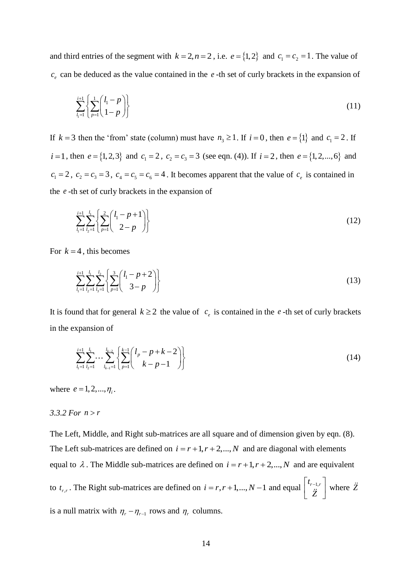and third entries of the segment with  $k = 2, n = 2$ , i.e.  $e = \{1, 2\}$  and  $c_1 = c_2 = 1$ . The value of *e c* can be deduced as the value contained in the *e* -th set of curly brackets in the expansion of

$$
\sum_{l_1=1}^{i+1} \left\{ \sum_{p=1}^{1} \left( \begin{array}{c} l_1 - p \\ 1 - p \end{array} \right) \right\} \tag{11}
$$

If  $k = 3$  then the 'from' state (column) must have  $n_3 \ge 1$ . If  $i = 0$ , then  $e = \{1\}$  and  $c_1 = 2$ . If *i* = 1, then  $e = \{1, 2, 3\}$  and  $c_1 = 2$ ,  $c_2 = c_3 = 3$  (see eqn. (4)). If  $i = 2$ , then  $e = \{1, 2, ..., 6\}$  and  $c_1 = 2$ ,  $c_2 = c_3 = 3$ ,  $c_4 = c_5 = c_6 = 4$ . It becomes apparent that the value of  $c_e$  is contained in the *e* -th set of curly brackets in the expansion of

$$
\sum_{l_1=1}^{i+1} \sum_{l_2=1}^{l_1} \left\{ \sum_{p=1}^{2} \left( \frac{l_1 - p + 1}{2 - p} \right) \right\} \tag{12}
$$

For  $k = 4$ , this becomes

$$
\sum_{l_1=1}^{i+1} \sum_{l_2=1}^{l_1} \sum_{l_3=1}^{l_2} \left\{ \sum_{p=1}^{3} \left( \frac{l_1 - p + 2}{3 - p} \right) \right\} \tag{13}
$$

It is found that for general  $k \ge 2$  the value of  $c_e$  is contained in the e-th set of curly brackets in the expansion of

$$
\sum_{l_1=1}^{i+1} \sum_{l_2=1}^{l_1} \cdots \sum_{l_{k-1}=1}^{l_{k-2}} \left\{ \sum_{p=1}^{k-1} \binom{l_p-p+k-2}{k-p-1} \right\} \tag{14}
$$

where  $e = 1, 2, ..., n_i$ .

# 3.3.2 For  $n > r$

The Left, Middle, and Right sub-matrices are all square and of dimension given by eqn. (8). The Left sub-matrices are defined on  $i = r + 1, r + 2, ..., N$  and are diagonal with elements equal to  $\lambda$ . The Middle sub-matrices are defined on  $i = r + 1, r + 2, ..., N$  and are equivalent to  $t_{r,r}$ . The Right sub-matrices are defined on  $i = r, r + 1, ..., N - 1$  and equal  $\begin{bmatrix} t_{r-1,r} \\ \vdots \end{bmatrix}$ *Z*  $\vert t_{r-1,r} \vert$  $\begin{bmatrix} r-1,r \\ Z \end{bmatrix}$  where  $\overline{Z}$ 

is a null matrix with  $\eta_r - \eta_{r-1}$  rows and  $\eta_r$  columns.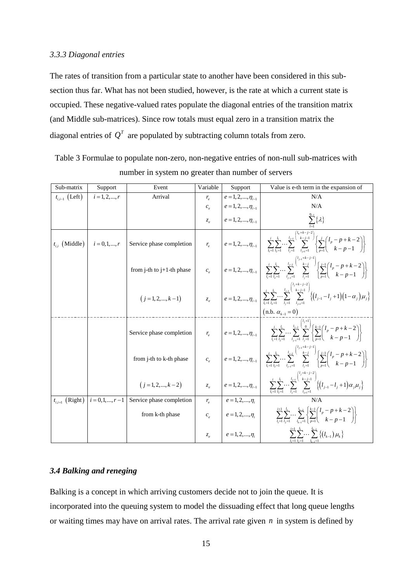# *3.3.3 Diagonal entries*

The rates of transition from a particular state to another have been considered in this subsection thus far. What has not been studied, however, is the rate at which a current state is occupied. These negative-valued rates populate the diagonal entries of the transition matrix (and Middle sub-matrices). Since row totals must equal zero in a transition matrix the diagonal entries of  $Q<sup>T</sup>$  are populated by subtracting column totals from zero.

|                        |                 |                                                    |                      |                          | Table 3 Formulae to populate non-zero, non-negative entries of non-null sub-matrices with                                                                                                                                                                                                                                                                                                 |
|------------------------|-----------------|----------------------------------------------------|----------------------|--------------------------|-------------------------------------------------------------------------------------------------------------------------------------------------------------------------------------------------------------------------------------------------------------------------------------------------------------------------------------------------------------------------------------------|
|                        |                 | number in system no greater than number of servers |                      |                          |                                                                                                                                                                                                                                                                                                                                                                                           |
| Sub-matrix             | Support         | Event                                              | Variable             | Support                  | Value is e-th term in the expansion of                                                                                                                                                                                                                                                                                                                                                    |
| $t_{i,i-1}$ (Left)     | $i = 1, 2, , r$ | Arrival                                            | $r_e$                | $e = 1, 2, , \eta_{i-1}$ | N/A                                                                                                                                                                                                                                                                                                                                                                                       |
|                        |                 |                                                    | $c_e$                | $e = 1, 2, , \eta_{i-1}$ | N/A                                                                                                                                                                                                                                                                                                                                                                                       |
|                        |                 |                                                    | $\mathcal{Z}_{\rho}$ | $e = 1, 2, , n_{i-1}$    | $\sum_{l=1}^{m-1} \{\lambda\}$                                                                                                                                                                                                                                                                                                                                                            |
| $t_{i,i}$ (Middle)     | $i = 0, 1, , r$ | Service phase completion                           |                      |                          | $\label{eq:re} \begin{array}{c c} r_e & \vspace{0.2cm} e = 1,2,,\eta_{i-1} & \sum_{l_1=1}^{i}\sum_{l_2=1}^{l_1} \cdots \sum_{l_j=1}^{l_{j-1}} \sum_{l_{j+1}=1}^{\left(l_p+k-j-2\right)} \left\{ \sum_{p=1}^{j} \binom{l_p-p+k-2}{k-p-1} \right\} \\ \vspace{0.2cm} e_e & \vspace{0.2cm} e = 1,2,,\eta_{i-1} & \sum_{l_1=1}^{i-1}\sum_{l_2=1}^{l_1} \cdots \sum_{l_{j-1}=1}$               |
|                        |                 | from j-th to $j+1$ -th phase                       |                      |                          |                                                                                                                                                                                                                                                                                                                                                                                           |
|                        |                 |                                                    |                      |                          | $(j=1,2,,k-1)$ $z_e$ $e=1,2,,\eta_{i-1}$ $\sum_{l=1}^{i}\sum_{l=1}^{l_1} \sum_{l=1}^{l_{j-1}}\sum_{l=1}^{l_j+k-j-2} \{(l_{j-1}-l_j+1)(1-\alpha_j)\mu_j\}$                                                                                                                                                                                                                                 |
|                        |                 |                                                    |                      |                          | $(n.b. \alpha_{k-1} = 0)$                                                                                                                                                                                                                                                                                                                                                                 |
|                        |                 | Service phase completion                           |                      |                          |                                                                                                                                                                                                                                                                                                                                                                                           |
|                        |                 | from j-th to k-th phase                            |                      |                          | $\label{eq:re} \begin{array}{c} r_e\\ \vspace{0.2cm} e = 1,2,,\eta_{i-1}\\ \vspace{0.2cm} e = 1,2,,\eta_{i-1}\\ \vspace{0.2cm} e = 1,2,,\eta_{i-1}\\ \vspace{0.2cm} \end{array} \begin{array}{c} \sum_{l_1=1}^{i}\sum_{l_2=1}^{l_1}\cdots\sum_{l_{j-1}=1}^{l_{j-2}}\sum_{l_j=1}^{\left(l_j+1\right)}\left\{\sum_{p=1}^{k-1}\binom{l_p-p+k-2}{k-p-1}\right\}\\ \sum_{l_1=1}^{i}\sum_{l_2=$ |
|                        |                 | $(j=1,2,,k-2)$                                     |                      |                          | $z_e \qquad \left  \begin{array}{c} \varepsilon = 1, 2, , \eta_{i-1} \end{array} \right  \qquad \sum_{l_1=1}^i \sum_{l_2=1}^{l_1} \cdots \sum_{l_j=1}^{l_{j-1}} \sum_{l_{j+1}=1}^{\left(l_j+k-j-2\right)} \left\{ \left(l_{j-1}-l_j+1\right) \alpha_j \mu_j \right\} \end{array}$                                                                                                         |
| (Right)<br>$t_{i,i+1}$ |                 | $i = 0, 1, , r-1$ Service phase completion         |                      |                          |                                                                                                                                                                                                                                                                                                                                                                                           |
|                        |                 | from k-th phase                                    |                      |                          | $\begin{aligned}\n r_e & e=1,2,,\eta_i \\  e=1,2,,\eta_i & \sum_{l_1=1}^{i+1}\sum_{l_2=1}^{l_1}\sum_{l_{k-1}=1}^{l_{k-2}}\left\{\sum_{p=1}^{k-1}\binom{l_p-p+k-2}{k-p-1}\right\} \\  z_e & e=1,2,,\eta_i & \sum_{l_1=1}^{i+1}\sum_{l_2=1}^{l_1}\sum_{l_{k-1}=1}^{l_{k-2}}\left\{(l_{k-1})\mu_k\right\}\n \end{aligned}$                                                                   |
|                        |                 |                                                    |                      |                          | $\sum_{k=1}^{l+1}\sum_{i=1}^{l_1}\cdots\sum_{k=1}^{l_{k-2}}\left\{\left(l_{k-1}\right)\mu_{k}\right\}$                                                                                                                                                                                                                                                                                    |

# *3.4 Balking and reneging*

Balking is a concept in which arriving customers decide not to join the queue. It is incorporated into the queuing system to model the dissuading effect that long queue lengths or waiting times may have on arrival rates. The arrival rate given *n* in system is defined by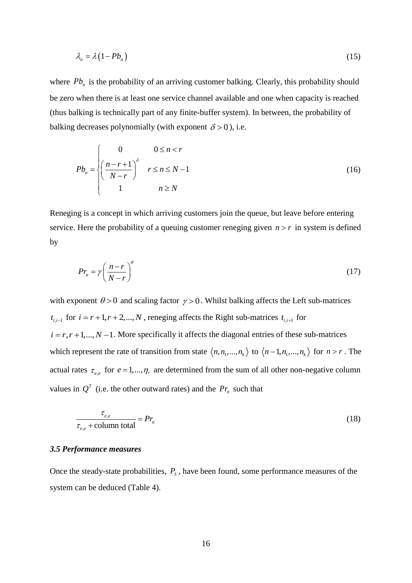$$
\lambda_n = \lambda \left( 1 - Pb_n \right) \tag{15}
$$

where  $Pb_n$  is the probability of an arriving customer balking. Clearly, this probability should be zero when there is at least one service channel available and one when capacity is reached (thus balking is technically part of any finite-buffer system). In between, the probability of balking decreases polynomially (with exponent  $\delta$  > 0), i.e.

$$
Pb_n = \begin{cases} 0 & 0 \le n < r \\ \left(\frac{n-r+1}{N-r}\right)^\delta & r \le n \le N-1 \\ 1 & n \ge N \end{cases} \tag{16}
$$

Reneging is a concept in which arriving customers join the queue, but leave before entering service. Here the probability of a queuing customer reneging given  $n > r$  in system is defined by

$$
Pr_n = \gamma \left(\frac{n-r}{N-r}\right)^{\theta} \tag{17}
$$

 $\lambda_n = \lambda (1 - Pb_n)$ <br>  $\lambda_b = \lambda (1 - Pb_n)$ <br>  $\omega_{ba}$  is the probability of an arriving cust<br>
when there is at least one service channe<br>
lking is technically part of any finite-but<br>
decreases polynomially (with exponent<br>  $\omega_{b,n} = \begin{cases}$ with exponent  $\theta > 0$  and scaling factor  $\gamma > 0$ . Whilst balking affects the Left sub-matrices  $t_{i,i-1}$  for  $i = r+1, r+2,..., N$ , reneging affects the Right sub-matrices  $t_{i,i+1}$  for  $i = r, r + 1, \dots, N - 1$ . More specifically it affects the diagonal entries of these sub-matrices which represent the rate of transition from state  $\langle n, n_1, ..., n_k \rangle$  to  $\langle n-1, n_1, ..., n_k \rangle$  for  $n > r$ . The actual rates  $\tau_{e,e}$  for  $e = 1,..., \eta_r$  are determined from the sum of all other non-negative column values in  $Q<sup>T</sup>$  (i.e. the other outward rates) and the  $Pr<sub>n</sub>$  such that

$$
\frac{\tau_{e,e}}{\tau_{e,e} + \text{column total}} = Pr_n \tag{18}
$$

# *3.5 Performance measures*

Once the steady-state probabilities,  $P_s$ , have been found, some performance measures of the system can be deduced (Table 4).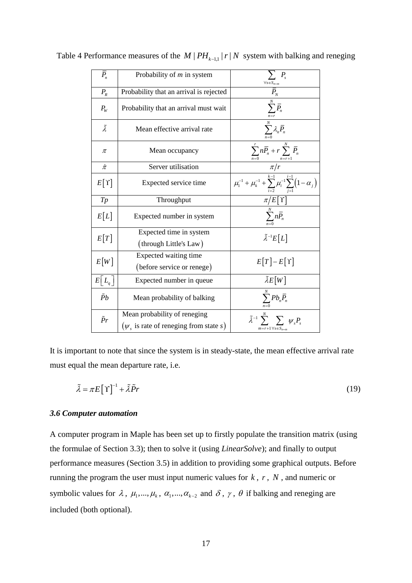|                                | erformance measures of the $M   PH_{k-1,1}  r   N$ system with balking and reneg |                                                                                                                                                                                                                                                                                                                                                                                                                                                                                                                                                            |
|--------------------------------|----------------------------------------------------------------------------------|------------------------------------------------------------------------------------------------------------------------------------------------------------------------------------------------------------------------------------------------------------------------------------------------------------------------------------------------------------------------------------------------------------------------------------------------------------------------------------------------------------------------------------------------------------|
| $P_n$                          | Probability of $m$ in system                                                     |                                                                                                                                                                                                                                                                                                                                                                                                                                                                                                                                                            |
| $P_R$                          | Probability that an arrival is rejected                                          |                                                                                                                                                                                                                                                                                                                                                                                                                                                                                                                                                            |
| $P_{W}$                        | Probability that an arrival must wait                                            | $\frac{\displaystyle\sum_{\forall s \in S_{n=m}} P_s}{\displaystyle\overline{P}_N} \qquad \qquad \nonumber \\ \frac{\displaystyle\sum_{n=r}^N \overline{P}_n}{\displaystyle\sum_{n=r}^N \lambda_n \overline{P}_n} \qquad \qquad \nonumber \\ \frac{\displaystyle\sum_{n=0}^N \lambda_n \overline{P}_n}{\displaystyle\sum_{n=0}^N \lambda_n \overline{P}_n} \qquad \qquad \nonumber \\ \frac{\displaystyle\sum_{n=0}^N \lambda_n \overline{P}_n}{\displaystyle\sum_{n=0}^N \lambda_n \overline{P}_n} \qquad \qquad \nonumber \\ \frac{\displaystyle\sum_{n$ |
| $\tilde{\lambda}$              | Mean effective arrival rate                                                      |                                                                                                                                                                                                                                                                                                                                                                                                                                                                                                                                                            |
| $\pi$                          | Mean occupancy                                                                   | $\frac{\sum_{n=0}^{n=0} n\overline{P}_n + r\sum_{n=r+1}^{N} \overline{P}_n}{\pi/r}$                                                                                                                                                                                                                                                                                                                                                                                                                                                                        |
| $\dot\pi$                      | Server utilisation                                                               |                                                                                                                                                                                                                                                                                                                                                                                                                                                                                                                                                            |
| $E[\Upsilon]$                  | Expected service time                                                            | $\mu_{\text{l}}^{-1} + \mu_{\text{k}}^{-1} + \sum_{i=2}^{k-1} \mu_{i}^{-1} \sum_{j=1}^{i-1} (1-\alpha_{j})$                                                                                                                                                                                                                                                                                                                                                                                                                                                |
| $\mathit{Tp}$                  | Throughput                                                                       |                                                                                                                                                                                                                                                                                                                                                                                                                                                                                                                                                            |
| E[L]                           | Expected number in system                                                        | $\frac{\pi/E[\Upsilon]}{\sum_{n=0}^{N}n\overline{P}_{n}}$                                                                                                                                                                                                                                                                                                                                                                                                                                                                                                  |
|                                | Expected time in system                                                          | $\tilde{\lambda}^{-1}E[L]$                                                                                                                                                                                                                                                                                                                                                                                                                                                                                                                                 |
| E[T]                           | (through Little's Law)                                                           |                                                                                                                                                                                                                                                                                                                                                                                                                                                                                                                                                            |
|                                | Expected waiting time                                                            |                                                                                                                                                                                                                                                                                                                                                                                                                                                                                                                                                            |
| E[W]                           | (before service or renege)                                                       | $E[T]-E[\Upsilon]$                                                                                                                                                                                                                                                                                                                                                                                                                                                                                                                                         |
| $E\Bigl[ \, L_{\!q} \, \Bigr]$ | Expected number in queue                                                         | $\tilde{\lambda}E[W]$                                                                                                                                                                                                                                                                                                                                                                                                                                                                                                                                      |
| $\tilde{P}b$                   | Mean probability of balking                                                      | $\sum_{n=0}^N Pb_n \overline{P}_n$                                                                                                                                                                                                                                                                                                                                                                                                                                                                                                                         |
| $\tilde{P}r$                   | Mean probability of reneging                                                     | $\tilde{\lambda}^{-1} \sum^N \sum \psi_s P_s$                                                                                                                                                                                                                                                                                                                                                                                                                                                                                                              |
|                                | $(\psi_s)$ is rate of reneging from state s)                                     | m=r+l∀s∈S                                                                                                                                                                                                                                                                                                                                                                                                                                                                                                                                                  |
|                                |                                                                                  |                                                                                                                                                                                                                                                                                                                                                                                                                                                                                                                                                            |

Table 4 Performance measures of the  $M | PH_{k-1,1} | r | N$  system with balking and reneging

It is important to note that since the system is in steady-state, the mean effective arrival rate must equal the mean departure rate, i.e.

$$
\tilde{\lambda} = \pi E \left[ \Upsilon \right]^{-1} + \tilde{\lambda} \tilde{P} r \tag{19}
$$

# *3.6 Computer automation*

A computer program in Maple has been set up to firstly populate the transition matrix (using the formulae of Section 3.3); then to solve it (using *LinearSolve*); and finally to output performance measures (Section 3.5) in addition to providing some graphical outputs. Before running the program the user must input numeric values for  $k$ ,  $r$ ,  $N$ , and numeric or symbolic values for  $\lambda$ ,  $\mu_1, ..., \mu_k$ ,  $\alpha_1, ..., \alpha_{k-2}$  and  $\delta$ ,  $\gamma$ ,  $\theta$  if balking and reneging are included (both optional).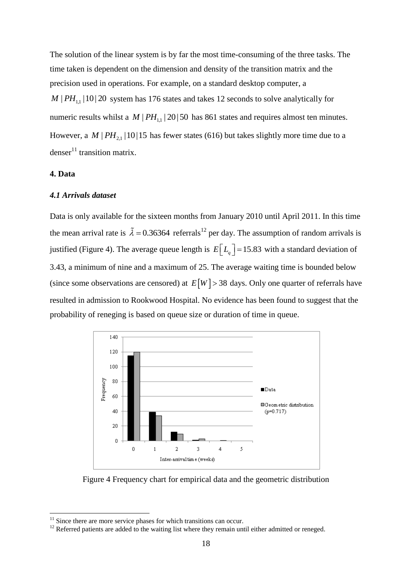The solution of the linear system is by far the most time-consuming of the three tasks. The time taken is dependent on the dimension and density of the transition matrix and the precision used in operations. For example, on a standard desktop computer, a  $M$  |  $PH_{1,1}$  | 10 | 20 system has 176 states and takes 12 seconds to solve analytically for numeric results whilst a  $M \mid PH_{1,1} \mid 20 \mid 50$  has 861 states and requires almost ten minutes. However, a  $M | PH_{2,1} | 10 | 15$  has fewer states (616) but takes slightly more time due to a denser $11$  transition matrix.

# **4. Data**

-

# *4.1 Arrivals dataset*

Data is only available for the sixteen months from January 2010 until April 2011. In this time the mean arrival rate is  $\tilde{\lambda} = 0.36364$  referrals<sup>12</sup> per day. The assumption of random arrivals is justified (Figure 4). The average queue length is  $E\left[L_q\right] = 15.83$  with a standard deviation of 3.43, a minimum of nine and a maximum of 25. The average waiting time is bounded below (since some observations are censored) at  $E[W] > 38$  days. Only one quarter of referrals have resulted in admission to Rookwood Hospital. No evidence has been found to suggest that the probability of reneging is based on queue size or duration of time in queue.



Figure 4 Frequency chart for empirical data and the geometric distribution

 $11$  Since there are more service phases for which transitions can occur.

<sup>&</sup>lt;sup>12</sup> Referred patients are added to the waiting list where they remain until either admitted or reneged.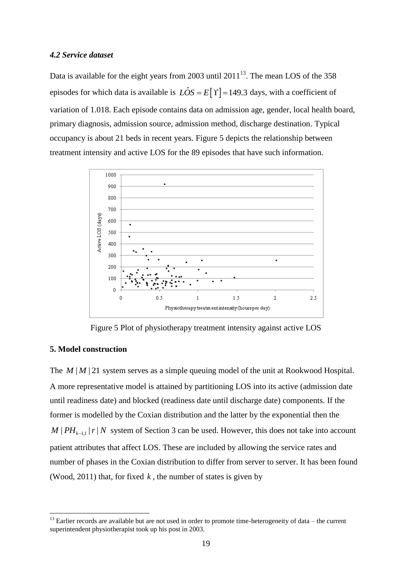### *4.2 Service dataset*

Data is available for the eight years from 2003 until  $2011^{13}$ . The mean LOS of the 358 episodes for which data is available is  $\angle \angle \angle OS = E[\Upsilon] = 149.3$  days, with a coefficient of variation of 1.018. Each episode contains data on admission age, gender, local health board, primary diagnosis, admission source, admission method, discharge destination. Typical occupancy is about 21 beds in recent years. Figure 5 depicts the relationship between treatment intensity and active LOS for the 89 episodes that have such information.



Figure 5 Plot of physiotherapy treatment intensity against active LOS

# **5. Model construction**

-

The  $M \mid M \mid 21$  system serves as a simple queuing model of the unit at Rookwood Hospital. A more representative model is attained by partitioning LOS into its active (admission date until readiness date) and blocked (readiness date until discharge date) components. If the former is modelled by the Coxian distribution and the latter by the exponential then the  $M | PH_{k-1,1} | r | N$  system of Section 3 can be used. However, this does not take into account patient attributes that affect LOS. These are included by allowing the service rates and number of phases in the Coxian distribution to differ from server to server. It has been found (Wood, 2011) that, for fixed  $k$ , the number of states is given by

 $13$  Earlier records are available but are not used in order to promote time-heterogeneity of data – the current superintendent physiotherapist took up his post in 2003.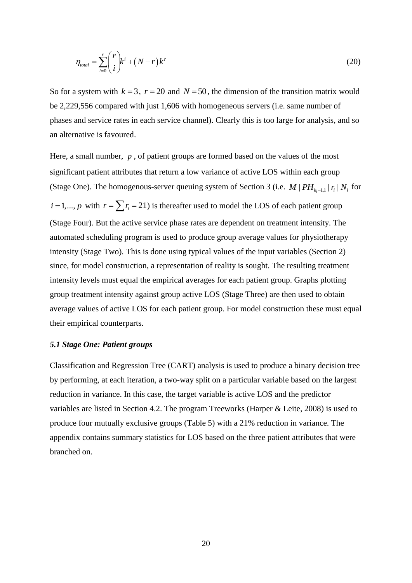$$
\eta_{\text{total}} = \sum_{i=0}^{r} \binom{r}{i} k^i + (N - r) k^r \tag{20}
$$

So for a system with  $k = 3$ ,  $r = 20$  and  $N = 50$ , the dimension of the transition matrix would be 2,229,556 compared with just 1,606 with homogeneous servers (i.e. same number of phases and service rates in each service channel). Clearly this is too large for analysis, and so an alternative is favoured.

Here, a small number, *p* , of patient groups are formed based on the values of the most significant patient attributes that return a low variance of active LOS within each group (Stage One). The homogenous-server queuing system of Section 3 (i.e.  $M | PH_{k-1,1} | r_i | N_i$  for  $i = 1, ..., p$  with  $r = \sum r_i = 21$ ) is thereafter used to model the LOS of each patient group (Stage Four). But the active service phase rates are dependent on treatment intensity. The automated scheduling program is used to produce group average values for physiotherapy intensity (Stage Two). This is done using typical values of the input variables (Section 2) since, for model construction, a representation of reality is sought. The resulting treatment intensity levels must equal the empirical averages for each patient group. Graphs plotting group treatment intensity against group active LOS (Stage Three) are then used to obtain average values of active LOS for each patient group. For model construction these must equal their empirical counterparts.

# *5.1 Stage One: Patient groups*

Classification and Regression Tree (CART) analysis is used to produce a binary decision tree by performing, at each iteration, a two-way split on a particular variable based on the largest reduction in variance. In this case, the target variable is active LOS and the predictor variables are listed in Section 4.2. The program Treeworks (Harper & Leite, 2008) is used to produce four mutually exclusive groups (Table 5) with a 21% reduction in variance. The appendix contains summary statistics for LOS based on the three patient attributes that were branched on.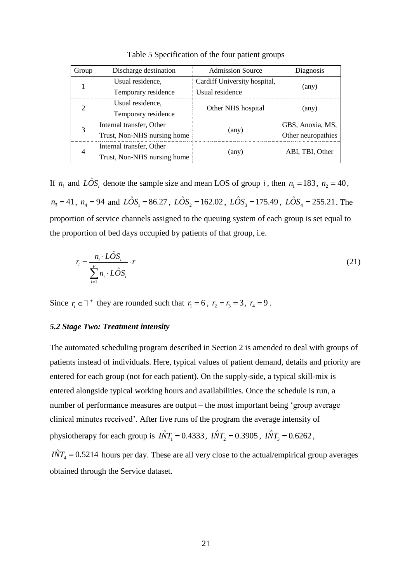|                  |                             | Table 5 Specification of the four patient groups |                    |  |
|------------------|-----------------------------|--------------------------------------------------|--------------------|--|
| Group            | Discharge destination       | <b>Admission Source</b>                          | Diagnosis          |  |
| Usual residence, |                             | Cardiff University hospital,                     |                    |  |
|                  | Temporary residence         | Usual residence                                  | (any)              |  |
| $\mathcal{D}$    | Usual residence,            | Other NHS hospital                               |                    |  |
|                  | Temporary residence         |                                                  | (any)              |  |
| 3                | Internal transfer, Other    | $(\text{any})$                                   | GBS, Anoxia, MS,   |  |
|                  | Trust, Non-NHS nursing home |                                                  | Other neuropathies |  |
|                  | Internal transfer, Other    |                                                  | ABI, TBI, Other    |  |
|                  | Trust, Non-NHS nursing home | (any)                                            |                    |  |

Table 5 Specification of the four patient groups

If  $n_i$  and  $\angle \hat{O}S_i$  denote the sample size and mean LOS of group *i*, then  $n_1 = 183$ ,  $n_2 = 40$ ,  $n_3 = 41$ ,  $n_4 = 94$  and  $\angle LOS_1 = 86.27$ ,  $\angle LOS_2 = 162.02$ ,  $\angle LOS_3 = 175.49$ ,  $\angle LOS_4 = 255.21$ . The proportion of service channels assigned to the queuing system of each group is set equal to the proportion of bed days occupied by patients of that group, i.e.

$$
r_i = \frac{n_i \cdot L\hat{O}S_i}{\sum_{i=1}^p n_i \cdot L\hat{O}S_i} \cdot r
$$
\n(21)

Since  $r_i \in \square^+$  they are rounded such that  $r_1 = 6$ ,  $r_2 = r_3 = 3$ ,  $r_4 = 9$ .

### *5.2 Stage Two: Treatment intensity*

The automated scheduling program described in Section 2 is amended to deal with groups of patients instead of individuals. Here, typical values of patient demand, details and priority are entered for each group (not for each patient). On the supply-side, a typical skill-mix is entered alongside typical working hours and availabilities. Once the schedule is run, a number of performance measures are output – the most important being 'group average clinical minutes received'. After five runs of the program the average intensity of physiotherapy for each group is  $I\hat{N}T_1 = 0.4333$ ,  $I\hat{N}T_2 = 0.3905$ ,  $I\hat{N}T_3 = 0.6262$ ,

 $I\hat{N}T_4 = 0.5214$  hours per day. These are all very close to the actual/empirical group averages obtained through the Service dataset.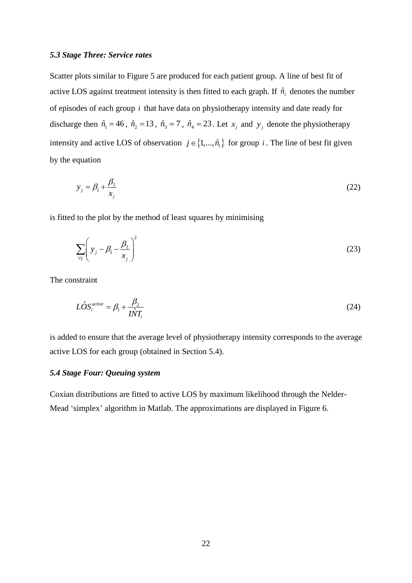### *5.3 Stage Three: Service rates*

Scatter plots similar to Figure 5 are produced for each patient group. A line of best fit of active LOS against treatment intensity is then fitted to each graph. If  $\hat{n}_i$  denotes the number of episodes of each group *i* that have data on physiotherapy intensity and date ready for discharge then  $\hat{n}_1 = 46$ ,  $\hat{n}_2 = 13$ ,  $\hat{n}_3 = 7$ ,  $\hat{n}_4 = 23$ . Let  $x_j$  and  $y_j$  denote the physiotherapy intensity and active LOS of observation  $j \in \{1, ..., \hat{n}_i\}$  for group *i*. The line of best fit given by the equation

$$
y_j = \beta_1 + \frac{\beta_2}{x_j} \tag{22}
$$

is fitted to the plot by the method of least squares by minimising

$$
\sum_{\forall j} \left( y_j - \beta_1 - \frac{\beta_2}{x_j} \right)^2 \tag{23}
$$

The constraint

$$
L\hat{O}S_i^{active} = \beta_1 + \frac{\beta_2}{I\hat{N}T_i}
$$
 (24)

is added to ensure that the average level of physiotherapy intensity corresponds to the average active LOS for each group (obtained in Section 5.4).

# *5.4 Stage Four: Queuing system*

Coxian distributions are fitted to active LOS by maximum likelihood through the Nelder-Mead 'simplex' algorithm in Matlab. The approximations are displayed in Figure 6.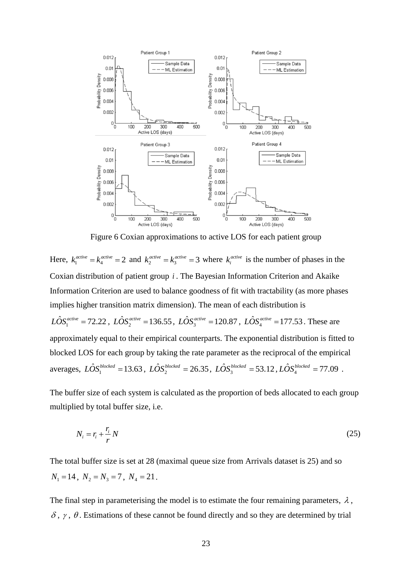

Figure 6 Coxian approximations to active LOS for each patient group

Here,  $k_1^{active} = k_4^{active} = 2$  and  $k_2^{active} = k_3^{active} = 3$  where  $k_i^{active}$  $k_i^{active}$  is the number of phases in the Coxian distribution of patient group *i* . The Bayesian Information Criterion and Akaike Information Criterion are used to balance goodness of fit with tractability (as more phases implies higher transition matrix dimension). The mean of each distribution is  $\hat{LOS}_1^{active} = 72.22$ ,  $\hat{LOS}_2^{active} = 136.55$ ,  $\hat{LOS}_3^{active} = 120.87$ ,  $\hat{LOS}_4^{active} = 177.53$ . These are approximately equal to their empirical counterparts. The exponential distribution is fitted to blocked LOS for each group by taking the rate parameter as the reciprocal of the empirical  $\hat{D}_{\text{averages,}} \ \hat{L} \hat{O} S_1^{blocked} = 13.63 \ , \ \hat{L} \hat{O} S_2^{blocked} = 26.35 \ , \ \hat{L} \hat{O} S_3^{blocked} = 53.12 \ , \hat{L} \hat{O} S_4^{blocked} = 77.09 \ .$ 

The buffer size of each system is calculated as the proportion of beds allocated to each group multiplied by total buffer size, i.e.

$$
N_i = r_i + \frac{r_i}{r}N\tag{25}
$$

The total buffer size is set at 28 (maximal queue size from Arrivals dataset is 25) and so  $N_1 = 14$ ,  $N_2 = N_3 = 7$ ,  $N_4 = 21$ .

The final step in parameterising the model is to estimate the four remaining parameters,  $\lambda$ ,  $\delta$ ,  $\gamma$ ,  $\theta$ . Estimations of these cannot be found directly and so they are determined by trial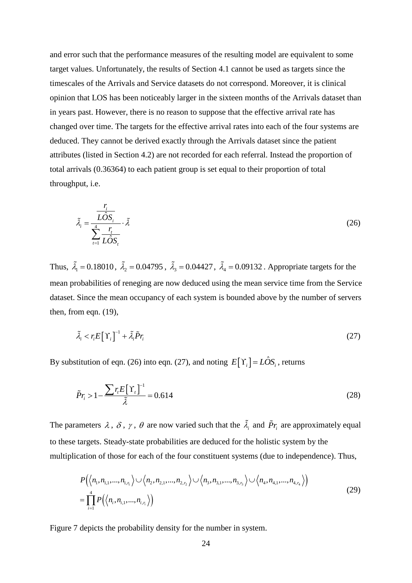and error such that the performance measures of the resulting model are equivalent to some target values. Unfortunately, the results of Section 4.1 cannot be used as targets since the timescales of the Arrivals and Service datasets do not correspond. Moreover, it is clinical opinion that LOS has been noticeably larger in the sixteen months of the Arrivals dataset than in years past. However, there is no reason to suppose that the effective arrival rate has changed over time. The targets for the effective arrival rates into each of the four systems are deduced. They cannot be derived exactly through the Arrivals dataset since the patient attributes (listed in Section 4.2) are not recorded for each referral. Instead the proportion of total arrivals (0.36364) to each patient group is set equal to their proportion of total throughput, i.e.

$$
\tilde{\lambda}_i = \frac{\frac{r_i}{\hat{LOS}_i}}{\sum_{t=1}^4 \frac{r_t}{\hat{LOS}_t}} \cdot \tilde{\lambda}
$$
\n(26)

Thus,  $\lambda_1 = 0.18010$ ,  $\lambda_2 = 0.04795$ ,  $\lambda_3 = 0.04427$ ,  $\lambda_4 = 0.09132$ . Appropriate targets for the mean probabilities of reneging are now deduced using the mean service time from the Service dataset. Since the mean occupancy of each system is bounded above by the number of servers then, from eqn. (19),

$$
\tilde{\lambda}_i < r_i E\big[\Upsilon_i\big]^{-1} + \tilde{\lambda}_i \tilde{P} r_i \tag{27}
$$

By substitution of eqn. (26) into eqn. (27), and noting  $E[Y_i] = L\hat{O}S_i$ , returns

$$
\tilde{P}r_i > 1 - \frac{\sum r_i E[\Upsilon_i]^{-1}}{\tilde{\lambda}} = 0.614
$$
\n(28)

The parameters  $\lambda$ ,  $\delta$ ,  $\gamma$ ,  $\theta$  are now varied such that the  $\lambda_i$  and  $\tilde{P}r_i$  are approximately equal to these targets. Steady-state probabilities are deduced for the holistic system by the

multiplication of those for each of the four constituent systems (due to independence). Thus,  
\n
$$
P\Big(\langle n_1, n_{1,1}, ..., n_{1,n} \rangle \cup \langle n_2, n_{2,1}, ..., n_{2,n_2} \rangle \cup \langle n_3, n_{3,1}, ..., n_{3,n_3} \rangle \cup \langle n_4, n_{4,1}, ..., n_{4,n_4} \rangle \Big)
$$
\n
$$
= \prod_{i=1}^4 P\Big(\langle n_i, n_{i,1}, ..., n_{i,n_i} \rangle \Big)
$$
\n(29)

Figure 7 depicts the probability density for the number in system.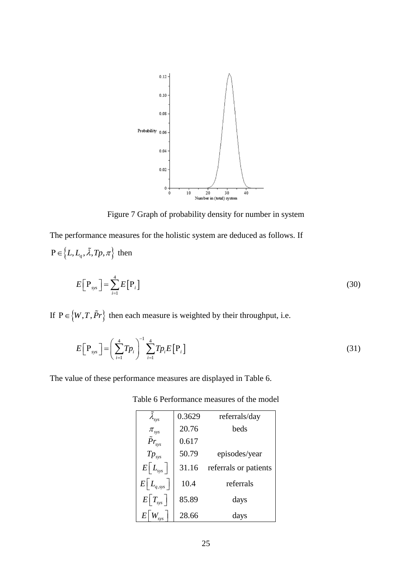

Figure 7 Graph of probability density for number in system

The performance measures for the holistic system are deduced as follows. If  $P \in \{L, L_q, \tilde{\lambda}, T_p, \pi\}$  then

$$
E\left[\mathbf{P}_{\text{sys}}\right] = \sum_{i=1}^{4} E\left[\mathbf{P}_i\right]
$$
\n(30)

If  $P \in \{W, T, \tilde{P}r\}$  then each measure is weighted by their throughput, i.e.

$$
E\left[\mathbf{P}_{sys}\right] = \left(\sum_{i=1}^{4} T p_i\right)^{-1} \sum_{i=1}^{4} T p_i E\left[\mathbf{P}_i\right]
$$
\n(31)

The value of these performance measures are displayed in Table 6.

| Table 6 Performance measures of the model  |        |                       |  |  |  |  |
|--------------------------------------------|--------|-----------------------|--|--|--|--|
| $\widetilde{\lambda}_{sys}$                | 0.3629 | referrals/day         |  |  |  |  |
| $\pi_{\rm sys}$                            | 20.76  | beds                  |  |  |  |  |
| $\tilde{P}r_{\rm sys}$                     | 0.617  |                       |  |  |  |  |
| $Tp_{\rm sw}$                              | 50.79  | episodes/year         |  |  |  |  |
| $E\lceil L_{\rm sys}\rceil$                | 31.16  | referrals or patients |  |  |  |  |
| $E\left[ \right. L_{q,sys} \left. \right]$ | 10.4   | referrals             |  |  |  |  |
| $E\left[T_{\rm sys}\right]$                | 85.89  | days                  |  |  |  |  |
| E                                          | 28.66  | days                  |  |  |  |  |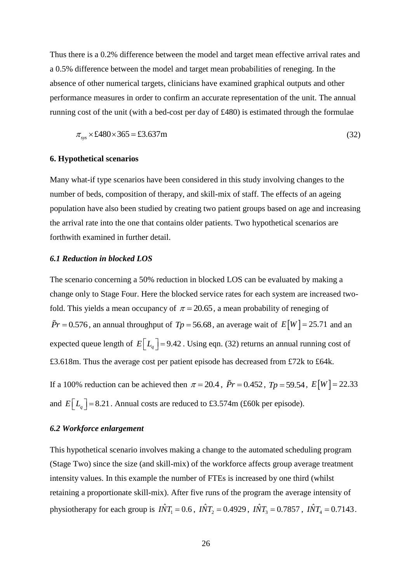Thus there is a 0.2% difference between the model and target mean effective arrival rates and a 0.5% difference between the model and target mean probabilities of reneging. In the absence of other numerical targets, clinicians have examined graphical outputs and other performance measures in order to confirm an accurate representation of the unit. The annual running cost of the unit (with a bed-cost per day of £480) is estimated through the formulae

$$
\pi_{\rm sys} \times \pounds 480 \times 365 = \pounds 3.637 \text{m} \tag{32}
$$

### **6. Hypothetical scenarios**

Many what-if type scenarios have been considered in this study involving changes to the number of beds, composition of therapy, and skill-mix of staff. The effects of an ageing population have also been studied by creating two patient groups based on age and increasing the arrival rate into the one that contains older patients. Two hypothetical scenarios are forthwith examined in further detail.

# *6.1 Reduction in blocked LOS*

The scenario concerning a 50% reduction in blocked LOS can be evaluated by making a change only to Stage Four. Here the blocked service rates for each system are increased twofold. This yields a mean occupancy of  $\pi = 20.65$ , a mean probability of reneging of  $\tilde{P}r = 0.576$ , an annual throughput of  $Tp = 56.68$ , an average wait of  $E[W] = 25.71$  and an expected queue length of  $E\left[L_q\right] = 9.42$ . Using eqn. (32) returns an annual running cost of £3.618m. Thus the average cost per patient episode has decreased from £72k to £64k.

If a 100% reduction can be achieved then  $\pi = 20.4$ ,  $\tilde{P}r = 0.452$ ,  $Tp = 59.54$ ,  $E[W] = 22.33$ and  $E\left[L_q\right] = 8.21$ . Annual costs are reduced to £3.574m (£60k per episode).

# *6.2 Workforce enlargement*

This hypothetical scenario involves making a change to the automated scheduling program (Stage Two) since the size (and skill-mix) of the workforce affects group average treatment intensity values. In this example the number of FTEs is increased by one third (whilst retaining a proportionate skill-mix). After five runs of the program the average intensity of physiotherapy for each group is  $I\hat{N}T_1 = 0.6$ ,  $I\hat{N}T_2 = 0.4929$ ,  $I\hat{N}T_3 = 0.7857$ ,  $I\hat{N}T_4 = 0.7143$ .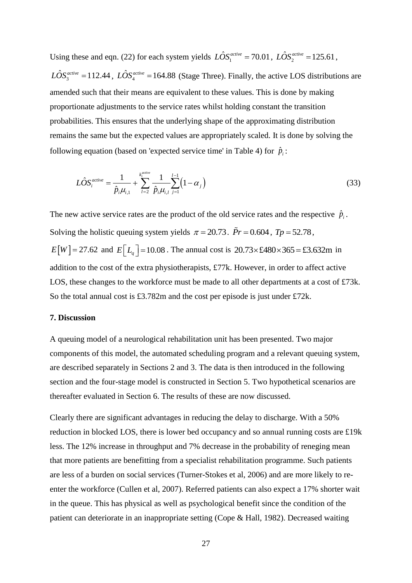Using these and eqn. (22) for each system yields  $\angle L\hat{O}S_1^{active} = 70.01$ ,  $\angle L\hat{O}S_2^{active} = 125.61$ ,  $\hat{LOS}_3^{active} = 112.44$ ,  $\hat{LOS}_4^{active} = 164.88$  *(Stage Three)*. Finally, the active LOS distributions are amended such that their means are equivalent to these values. This is done by making proportionate adjustments to the service rates whilst holding constant the transition probabilities. This ensures that the underlying shape of the approximating distribution remains the same but the expected values are appropriately scaled. It is done by solving the following equation (based on 'expected service time' in Table 4) for  $\hat{p}_i$ :

$$
L\hat{O}S_i^{active} = \frac{1}{\hat{p}_i \mu_{i,1}} + \sum_{l=2}^{k_i^{active}} \frac{1}{\hat{p}_i \mu_{i,l}} \sum_{j=1}^{l-1} (1 - \alpha_j)
$$
(33)

The new active service rates are the product of the old service rates and the respective  $\hat{p}_i$ . Solving the holistic queuing system yields  $\pi = 20.73$ .  $\tilde{P}r = 0.604$ ,  $Tp = 52.78$ ,  $E[W] = 27.62$  and  $E[L_q] = 10.08$ . The annual cost is  $20.73 \times \text{\pounds}480 \times 365 = \text{\pounds}3.632 \text{m}$  in addition to the cost of the extra physiotherapists, £77k. However, in order to affect active LOS, these changes to the workforce must be made to all other departments at a cost of £73k. So the total annual cost is £3.782m and the cost per episode is just under £72k.

# **7. Discussion**

A queuing model of a neurological rehabilitation unit has been presented. Two major components of this model, the automated scheduling program and a relevant queuing system, are described separately in Sections 2 and 3. The data is then introduced in the following section and the four-stage model is constructed in Section 5. Two hypothetical scenarios are thereafter evaluated in Section 6. The results of these are now discussed.

Clearly there are significant advantages in reducing the delay to discharge. With a 50% reduction in blocked LOS, there is lower bed occupancy and so annual running costs are £19k less. The 12% increase in throughput and 7% decrease in the probability of reneging mean that more patients are benefitting from a specialist rehabilitation programme. Such patients are less of a burden on social services (Turner-Stokes et al, 2006) and are more likely to reenter the workforce (Cullen et al, 2007). Referred patients can also expect a 17% shorter wait in the queue. This has physical as well as psychological benefit since the condition of the patient can deteriorate in an inappropriate setting (Cope & Hall, 1982). Decreased waiting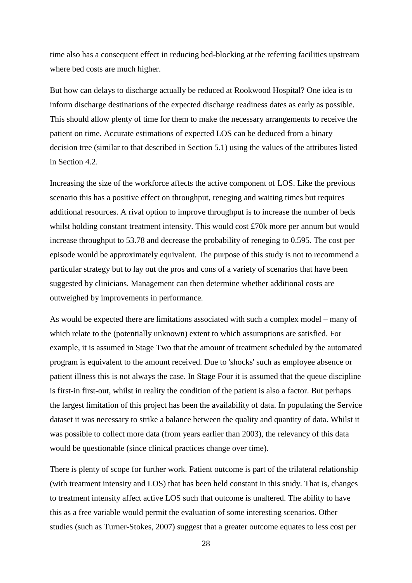time also has a consequent effect in reducing bed-blocking at the referring facilities upstream where bed costs are much higher.

But how can delays to discharge actually be reduced at Rookwood Hospital? One idea is to inform discharge destinations of the expected discharge readiness dates as early as possible. This should allow plenty of time for them to make the necessary arrangements to receive the patient on time. Accurate estimations of expected LOS can be deduced from a binary decision tree (similar to that described in Section 5.1) using the values of the attributes listed in Section 4.2.

Increasing the size of the workforce affects the active component of LOS. Like the previous scenario this has a positive effect on throughput, reneging and waiting times but requires additional resources. A rival option to improve throughput is to increase the number of beds whilst holding constant treatment intensity. This would cost £70k more per annum but would increase throughput to 53.78 and decrease the probability of reneging to 0.595. The cost per episode would be approximately equivalent. The purpose of this study is not to recommend a particular strategy but to lay out the pros and cons of a variety of scenarios that have been suggested by clinicians. Management can then determine whether additional costs are outweighed by improvements in performance.

As would be expected there are limitations associated with such a complex model – many of which relate to the (potentially unknown) extent to which assumptions are satisfied. For example, it is assumed in Stage Two that the amount of treatment scheduled by the automated program is equivalent to the amount received. Due to 'shocks' such as employee absence or patient illness this is not always the case. In Stage Four it is assumed that the queue discipline is first-in first-out, whilst in reality the condition of the patient is also a factor. But perhaps the largest limitation of this project has been the availability of data. In populating the Service dataset it was necessary to strike a balance between the quality and quantity of data. Whilst it was possible to collect more data (from years earlier than 2003), the relevancy of this data would be questionable (since clinical practices change over time).

There is plenty of scope for further work. Patient outcome is part of the trilateral relationship (with treatment intensity and LOS) that has been held constant in this study. That is, changes to treatment intensity affect active LOS such that outcome is unaltered. The ability to have this as a free variable would permit the evaluation of some interesting scenarios. Other studies (such as Turner-Stokes, 2007) suggest that a greater outcome equates to less cost per

28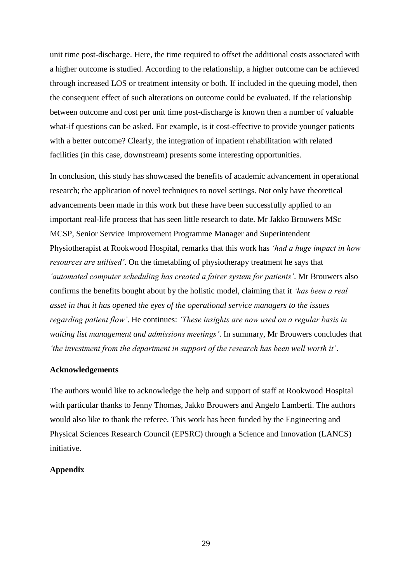unit time post-discharge. Here, the time required to offset the additional costs associated with a higher outcome is studied. According to the relationship, a higher outcome can be achieved through increased LOS or treatment intensity or both. If included in the queuing model, then the consequent effect of such alterations on outcome could be evaluated. If the relationship between outcome and cost per unit time post-discharge is known then a number of valuable what-if questions can be asked. For example, is it cost-effective to provide younger patients with a better outcome? Clearly, the integration of inpatient rehabilitation with related facilities (in this case, downstream) presents some interesting opportunities.

In conclusion, this study has showcased the benefits of academic advancement in operational research; the application of novel techniques to novel settings. Not only have theoretical advancements been made in this work but these have been successfully applied to an important real-life process that has seen little research to date. Mr Jakko Brouwers MSc MCSP, Senior Service Improvement Programme Manager and Superintendent Physiotherapist at Rookwood Hospital, remarks that this work has *'had a huge impact in how resources are utilised'*. On the timetabling of physiotherapy treatment he says that *'automated computer scheduling has created a fairer system for patients'*. Mr Brouwers also confirms the benefits bought about by the holistic model, claiming that it *'has been a real asset in that it has opened the eyes of the operational service managers to the issues regarding patient flow'*. He continues: *'These insights are now used on a regular basis in waiting list management and admissions meetings'*. In summary, Mr Brouwers concludes that *'the investment from the department in support of the research has been well worth it'*.

# **Acknowledgements**

The authors would like to acknowledge the help and support of staff at Rookwood Hospital with particular thanks to Jenny Thomas, Jakko Brouwers and Angelo Lamberti. The authors would also like to thank the referee. This work has been funded by the Engineering and Physical Sciences Research Council (EPSRC) through a Science and Innovation (LANCS) initiative.

# **Appendix**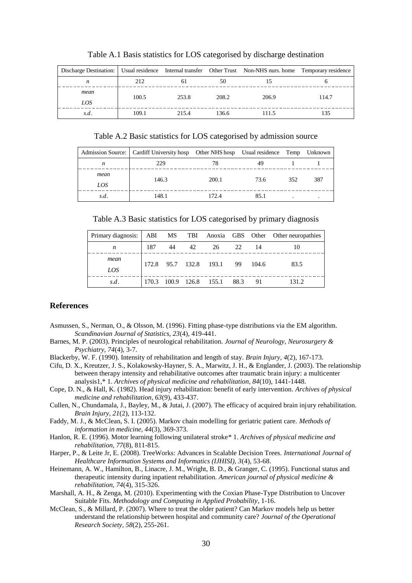|                        |       |       |       | Table A.1 Basis statistics for LOS categorised by discharge destination              |       |
|------------------------|-------|-------|-------|--------------------------------------------------------------------------------------|-------|
| Discharge Destination: |       |       |       | Usual residence Internal transfer Other Trust Non-NHS nurs. home Temporary residence |       |
| n                      | 2.12  | -61   | 50    | 15                                                                                   | 6     |
| mean<br>LOS            | 100.5 | 253.8 | 208.2 | 206.9                                                                                | 114.7 |
| s.d.                   | 109.1 | 215.4 | 136.6 | 111.5                                                                                | 135   |

Table A.1 Basis statistics for LOS categorised by discharge destination

#### Table A.2 Basic statistics for LOS categorised by admission source

| Table A.2 Basic statistics for LOS categorised by admission source |                                                             |       |      |     |         |  |  |  |
|--------------------------------------------------------------------|-------------------------------------------------------------|-------|------|-----|---------|--|--|--|
| <b>Admission Source:</b>                                           | Cardiff University hosp Other NHS hosp Usual residence Temp |       |      |     | Unknown |  |  |  |
| n                                                                  | 229                                                         | 78    | 49   |     |         |  |  |  |
| mean<br>LOS                                                        | 146.3                                                       | 200.1 | 73.6 | 352 | 387     |  |  |  |
| s.d.                                                               | 148.1                                                       | 172.4 | 85.1 |     |         |  |  |  |

|  | Table A.3 Basic statistics for LOS categorised by primary diagnosis |  |  |  |  |  |  |  |
|--|---------------------------------------------------------------------|--|--|--|--|--|--|--|
|--|---------------------------------------------------------------------|--|--|--|--|--|--|--|

| Table A.3 Basic statistics for LOS categorised by primary diagnosis |       |             |    |               |      |           |                    |  |
|---------------------------------------------------------------------|-------|-------------|----|---------------|------|-----------|--------------------|--|
| Primary diagnosis:                                                  | ABI   |             |    | MS TBI Anoxia |      | GBS Other | Other neuropathies |  |
| n                                                                   | 187   | 44          | 42 | 26            | 22   | 14        | 10                 |  |
| mean                                                                | 172.8 | 95.7 132.8  |    | 193.1         | 99   | 104.6     | 83.5               |  |
| LOS                                                                 |       |             |    |               |      |           |                    |  |
| s.d.                                                                | 170.3 | 100.9 126.8 |    | 155.1         | 88.3 | 91        | 131.2              |  |

#### **References**

- Asmussen, S., Nerman, O., & Olsson, M. (1996). Fitting phase-type distributions via the EM algorithm. *Scandinavian Journal of Statistics, 23*(4), 419-441.
- Barnes, M. P. (2003). Principles of neurological rehabilitation. *Journal of Neurology, Neurosurgery & Psychiatry, 74*(4), 3-7.
- Blackerby, W. F. (1990). Intensity of rehabilitation and length of stay. *Brain Injury, 4*(2), 167-173.
- Cifu, D. X., Kreutzer, J. S., Kolakowsky-Hayner, S. A., Marwitz, J. H., & Englander, J. (2003). The relationship between therapy intensity and rehabilitative outcomes after traumatic brain injury: a multicenter analysis1,\* 1. *Archives of physical medicine and rehabilitation, 84*(10), 1441-1448.
- Cope, D. N., & Hall, K. (1982). Head injury rehabilitation: benefit of early intervention. *Archives of physical medicine and rehabilitation, 63*(9), 433-437.
- Cullen, N., Chundamala, J., Bayley, M., & Jutai, J. (2007). The efficacy of acquired brain injury rehabilitation. *Brain Injury, 21*(2), 113-132.
- Faddy, M. J., & McClean, S. I. (2005). Markov chain modelling for geriatric patient care. *Methods of information in medicine, 44*(3), 369-373.
- Hanlon, R. E. (1996). Motor learning following unilateral stroke\* 1. *Archives of physical medicine and rehabilitation, 77*(8), 811-815.
- Harper, P., & Leite Jr, E. (2008). TreeWorks: Advances in Scalable Decision Trees. *International Journal of Healthcare Information Systems and Informatics (IJHISI), 3*(4), 53-68.
- Heinemann, A. W., Hamilton, B., Linacre, J. M., Wright, B. D., & Granger, C. (1995). Functional status and therapeutic intensity during inpatient rehabilitation. *American journal of physical medicine & rehabilitation, 74*(4), 315-326.
- Marshall, A. H., & Zenga, M. (2010). Experimenting with the Coxian Phase-Type Distribution to Uncover Suitable Fits. *Methodology and Computing in Applied Probability*, 1-16.
- McClean, S., & Millard, P. (2007). Where to treat the older patient? Can Markov models help us better understand the relationship between hospital and community care? *Journal of the Operational Research Society, 58*(2), 255-261.